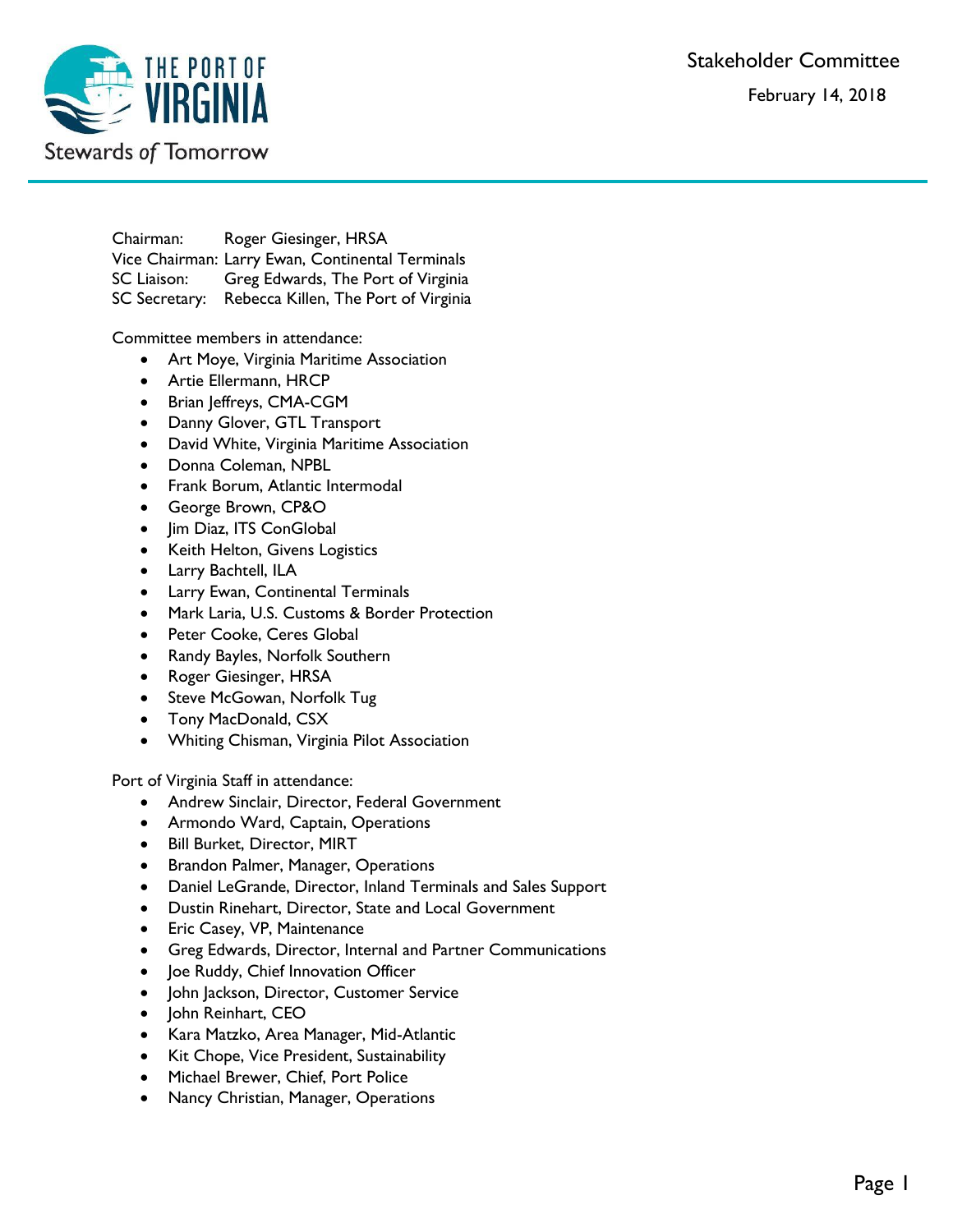Stakeholder Committee February 14, 2018



Chairman: Roger Giesinger, HRSA Vice Chairman: Larry Ewan, Continental Terminals SC Liaison: Greg Edwards, The Port of Virginia SC Secretary: Rebecca Killen, The Port of Virginia

Committee members in attendance:

- Art Moye, Virginia Maritime Association
- Artie Ellermann, HRCP
- Brian Jeffreys, CMA-CGM
- Danny Glover, GTL Transport
- David White, Virginia Maritime Association
- Donna Coleman, NPBL
- Frank Borum, Atlantic Intermodal
- George Brown, CP&O
- Jim Diaz, ITS ConGlobal
- Keith Helton, Givens Logistics
- Larry Bachtell, ILA
- Larry Ewan, Continental Terminals
- Mark Laria, U.S. Customs & Border Protection
- Peter Cooke, Ceres Global
- Randy Bayles, Norfolk Southern
- Roger Giesinger, HRSA
- Steve McGowan, Norfolk Tug
- Tony MacDonald, CSX
- Whiting Chisman, Virginia Pilot Association

Port of Virginia Staff in attendance:

- Andrew Sinclair, Director, Federal Government
- Armondo Ward, Captain, Operations
- Bill Burket, Director, MIRT
- Brandon Palmer, Manager, Operations
- Daniel LeGrande, Director, Inland Terminals and Sales Support
- Dustin Rinehart, Director, State and Local Government
- Eric Casey, VP, Maintenance
- Greg Edwards, Director, Internal and Partner Communications
- Joe Ruddy, Chief Innovation Officer
- John Jackson, Director, Customer Service
- John Reinhart, CEO
- Kara Matzko, Area Manager, Mid-Atlantic
- Kit Chope, Vice President, Sustainability
- Michael Brewer, Chief, Port Police
- Nancy Christian, Manager, Operations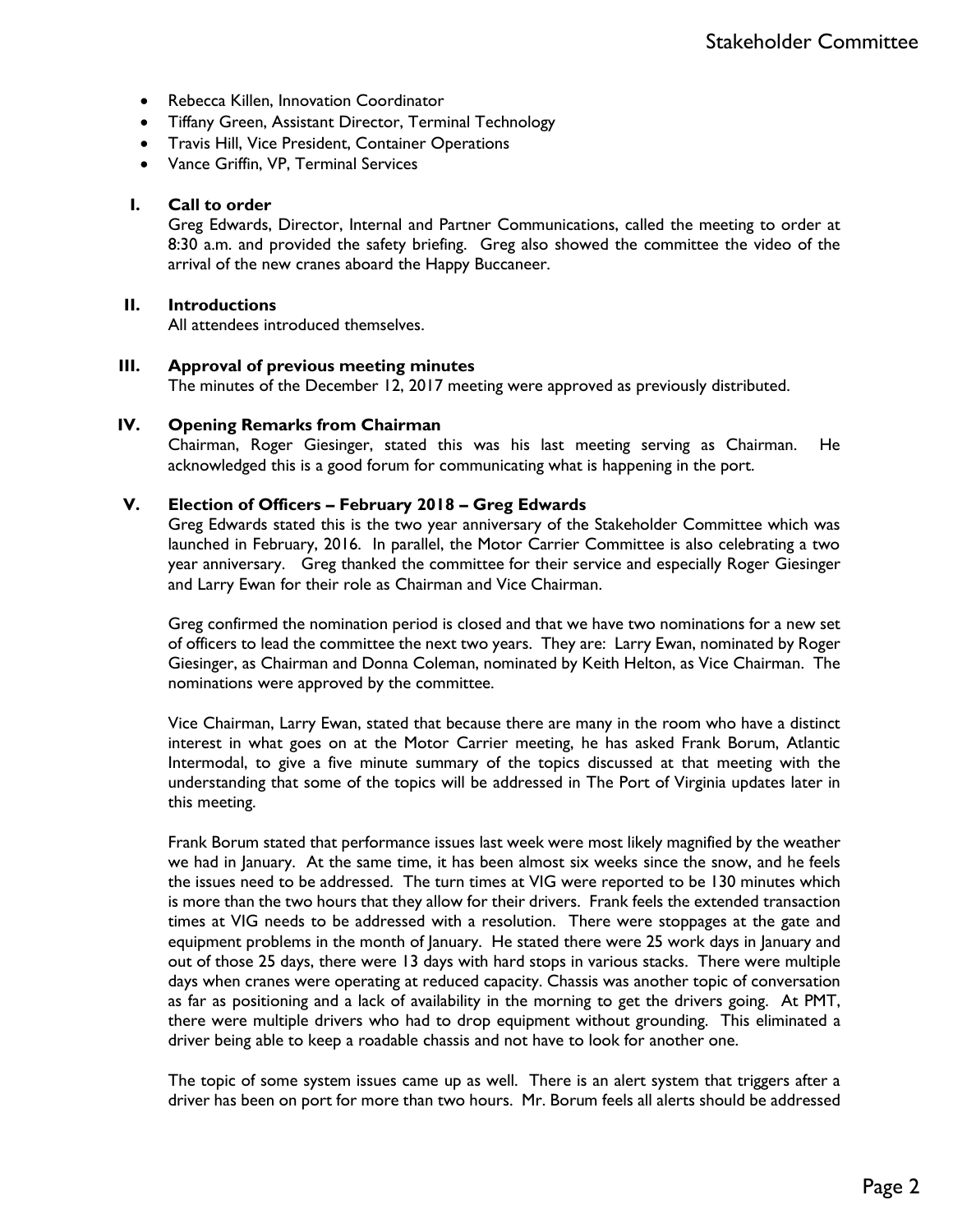- Rebecca Killen, Innovation Coordinator
- Tiffany Green, Assistant Director, Terminal Technology
- Travis Hill, Vice President, Container Operations
- Vance Griffin, VP, Terminal Services

#### **I. Call to order**

Greg Edwards, Director, Internal and Partner Communications, called the meeting to order at 8:30 a.m. and provided the safety briefing. Greg also showed the committee the video of the arrival of the new cranes aboard the Happy Buccaneer.

#### **II. Introductions**

All attendees introduced themselves.

#### **III. Approval of previous meeting minutes**

The minutes of the December 12, 2017 meeting were approved as previously distributed.

#### **IV. Opening Remarks from Chairman**

Chairman, Roger Giesinger, stated this was his last meeting serving as Chairman. He acknowledged this is a good forum for communicating what is happening in the port.

#### **V. Election of Officers – February 2018 – Greg Edwards**

Greg Edwards stated this is the two year anniversary of the Stakeholder Committee which was launched in February, 2016. In parallel, the Motor Carrier Committee is also celebrating a two year anniversary. Greg thanked the committee for their service and especially Roger Giesinger and Larry Ewan for their role as Chairman and Vice Chairman.

Greg confirmed the nomination period is closed and that we have two nominations for a new set of officers to lead the committee the next two years. They are: Larry Ewan, nominated by Roger Giesinger, as Chairman and Donna Coleman, nominated by Keith Helton, as Vice Chairman. The nominations were approved by the committee.

Vice Chairman, Larry Ewan, stated that because there are many in the room who have a distinct interest in what goes on at the Motor Carrier meeting, he has asked Frank Borum, Atlantic Intermodal, to give a five minute summary of the topics discussed at that meeting with the understanding that some of the topics will be addressed in The Port of Virginia updates later in this meeting.

Frank Borum stated that performance issues last week were most likely magnified by the weather we had in January. At the same time, it has been almost six weeks since the snow, and he feels the issues need to be addressed. The turn times at VIG were reported to be 130 minutes which is more than the two hours that they allow for their drivers. Frank feels the extended transaction times at VIG needs to be addressed with a resolution. There were stoppages at the gate and equipment problems in the month of January. He stated there were 25 work days in January and out of those 25 days, there were 13 days with hard stops in various stacks. There were multiple days when cranes were operating at reduced capacity. Chassis was another topic of conversation as far as positioning and a lack of availability in the morning to get the drivers going. At PMT, there were multiple drivers who had to drop equipment without grounding. This eliminated a driver being able to keep a roadable chassis and not have to look for another one.

The topic of some system issues came up as well. There is an alert system that triggers after a driver has been on port for more than two hours. Mr. Borum feels all alerts should be addressed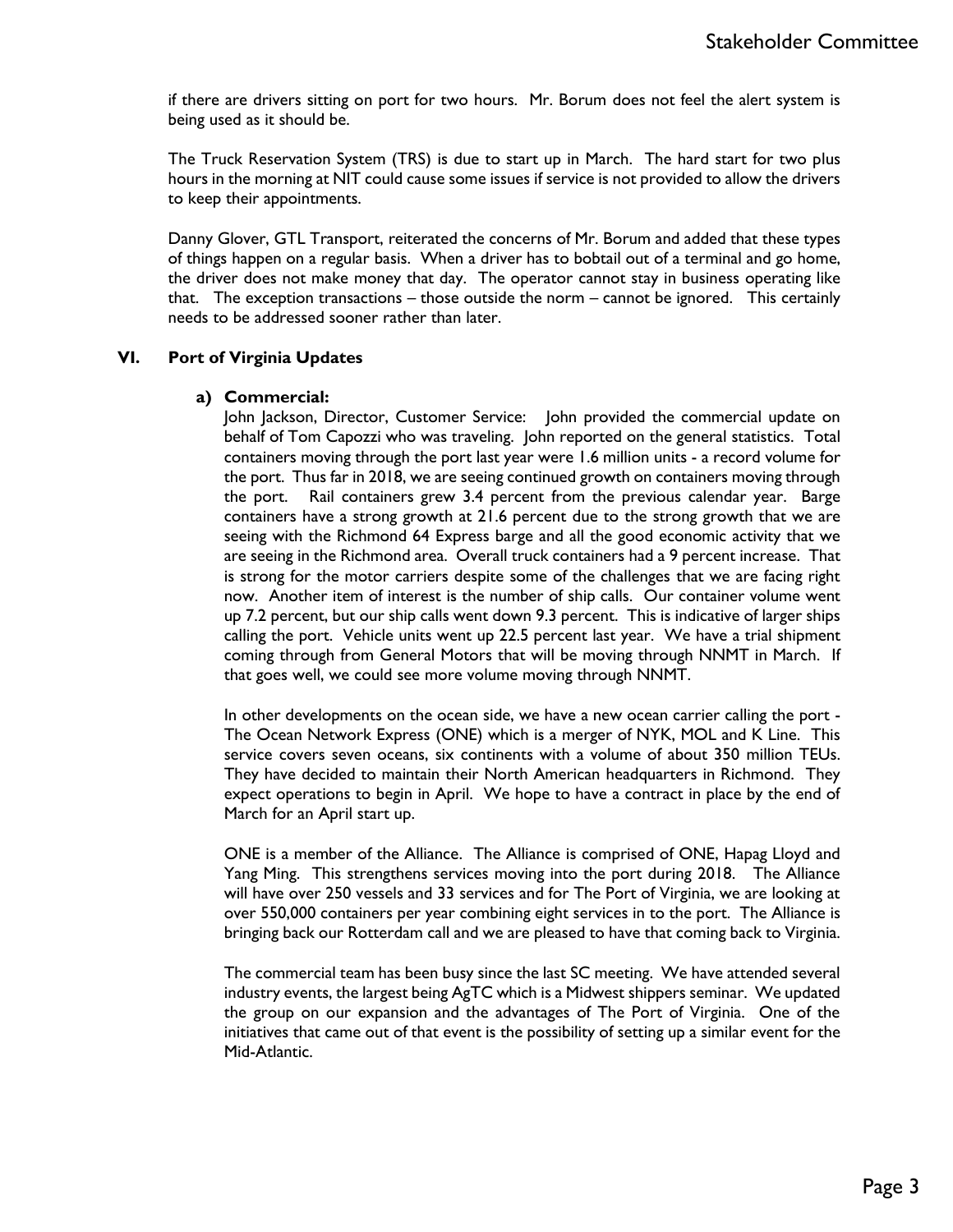if there are drivers sitting on port for two hours. Mr. Borum does not feel the alert system is being used as it should be.

The Truck Reservation System (TRS) is due to start up in March. The hard start for two plus hours in the morning at NIT could cause some issues if service is not provided to allow the drivers to keep their appointments.

Danny Glover, GTL Transport, reiterated the concerns of Mr. Borum and added that these types of things happen on a regular basis. When a driver has to bobtail out of a terminal and go home, the driver does not make money that day. The operator cannot stay in business operating like that. The exception transactions – those outside the norm – cannot be ignored. This certainly needs to be addressed sooner rather than later.

## **VI. Port of Virginia Updates**

## **a) Commercial:**

John Jackson, Director, Customer Service: John provided the commercial update on behalf of Tom Capozzi who was traveling. John reported on the general statistics. Total containers moving through the port last year were 1.6 million units - a record volume for the port. Thus far in 2018, we are seeing continued growth on containers moving through the port. Rail containers grew 3.4 percent from the previous calendar year. Barge containers have a strong growth at 21.6 percent due to the strong growth that we are seeing with the Richmond 64 Express barge and all the good economic activity that we are seeing in the Richmond area. Overall truck containers had a 9 percent increase. That is strong for the motor carriers despite some of the challenges that we are facing right now. Another item of interest is the number of ship calls. Our container volume went up 7.2 percent, but our ship calls went down 9.3 percent. This is indicative of larger ships calling the port. Vehicle units went up 22.5 percent last year. We have a trial shipment coming through from General Motors that will be moving through NNMT in March. If that goes well, we could see more volume moving through NNMT.

In other developments on the ocean side, we have a new ocean carrier calling the port - The Ocean Network Express (ONE) which is a merger of NYK, MOL and K Line. This service covers seven oceans, six continents with a volume of about 350 million TEUs. They have decided to maintain their North American headquarters in Richmond. They expect operations to begin in April. We hope to have a contract in place by the end of March for an April start up.

ONE is a member of the Alliance. The Alliance is comprised of ONE, Hapag Lloyd and Yang Ming. This strengthens services moving into the port during 2018. The Alliance will have over 250 vessels and 33 services and for The Port of Virginia, we are looking at over 550,000 containers per year combining eight services in to the port. The Alliance is bringing back our Rotterdam call and we are pleased to have that coming back to Virginia.

The commercial team has been busy since the last SC meeting. We have attended several industry events, the largest being AgTC which is a Midwest shippers seminar. We updated the group on our expansion and the advantages of The Port of Virginia. One of the initiatives that came out of that event is the possibility of setting up a similar event for the Mid-Atlantic.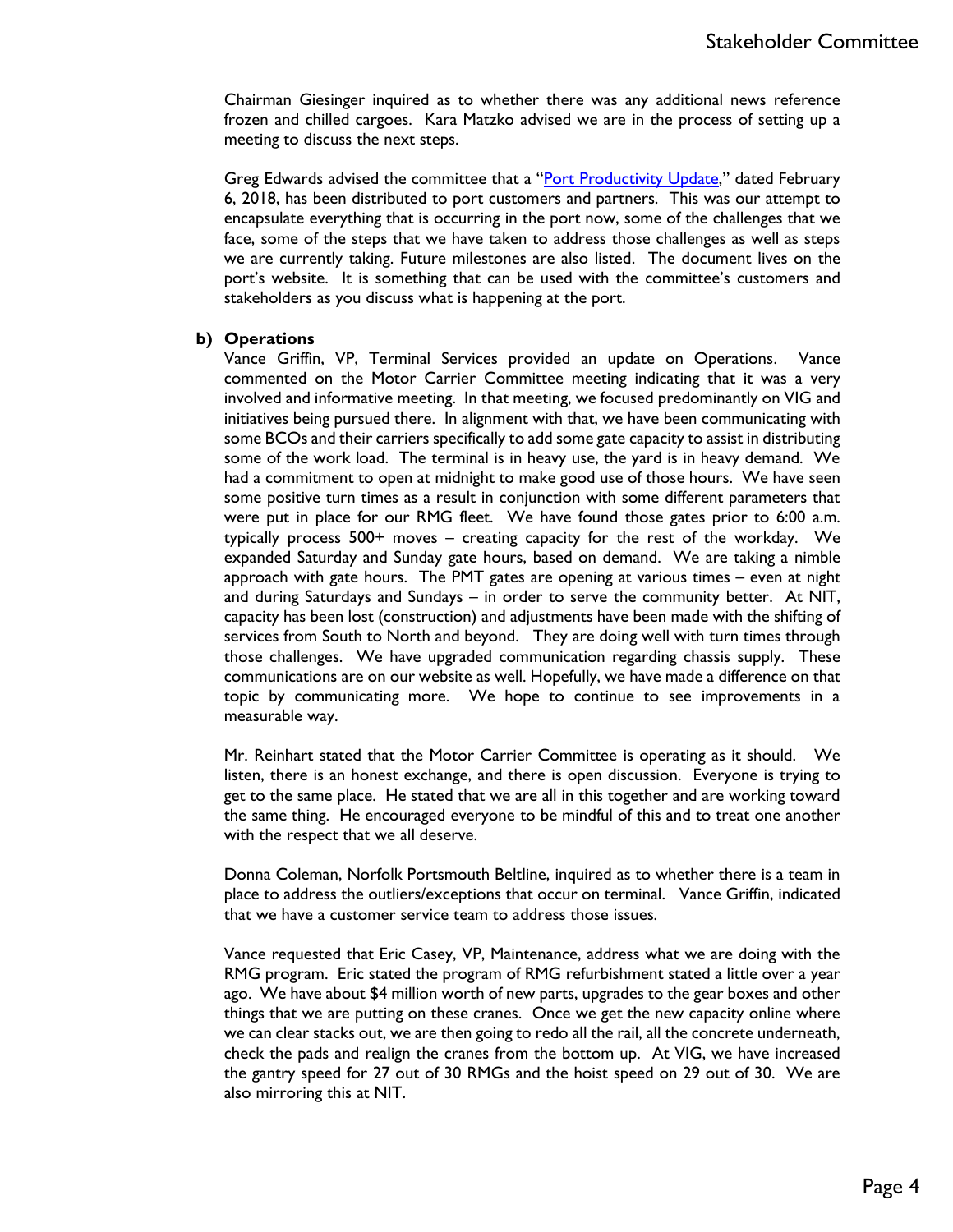Chairman Giesinger inquired as to whether there was any additional news reference frozen and chilled cargoes. Kara Matzko advised we are in the process of setting up a meeting to discuss the next steps.

Greg Edwards advised the committee that a "[Port Productivity Update](http://www.portofvirginia.com/port-productivity-update-february-7-2018/)," dated February 6, 2018, has been distributed to port customers and partners. This was our attempt to encapsulate everything that is occurring in the port now, some of the challenges that we face, some of the steps that we have taken to address those challenges as well as steps we are currently taking. Future milestones are also listed. The document lives on the port's website. It is something that can be used with the committee's customers and stakeholders as you discuss what is happening at the port.

## **b) Operations**

Vance Griffin, VP, Terminal Services provided an update on Operations. Vance commented on the Motor Carrier Committee meeting indicating that it was a very involved and informative meeting. In that meeting, we focused predominantly on VIG and initiatives being pursued there. In alignment with that, we have been communicating with some BCOs and their carriers specifically to add some gate capacity to assist in distributing some of the work load. The terminal is in heavy use, the yard is in heavy demand. We had a commitment to open at midnight to make good use of those hours. We have seen some positive turn times as a result in conjunction with some different parameters that were put in place for our RMG fleet. We have found those gates prior to 6:00 a.m. typically process 500+ moves – creating capacity for the rest of the workday. We expanded Saturday and Sunday gate hours, based on demand. We are taking a nimble approach with gate hours. The PMT gates are opening at various times – even at night and during Saturdays and Sundays – in order to serve the community better. At NIT, capacity has been lost (construction) and adjustments have been made with the shifting of services from South to North and beyond. They are doing well with turn times through those challenges. We have upgraded communication regarding chassis supply. These communications are on our website as well. Hopefully, we have made a difference on that topic by communicating more. We hope to continue to see improvements in a measurable way.

Mr. Reinhart stated that the Motor Carrier Committee is operating as it should. We listen, there is an honest exchange, and there is open discussion. Everyone is trying to get to the same place. He stated that we are all in this together and are working toward the same thing. He encouraged everyone to be mindful of this and to treat one another with the respect that we all deserve.

Donna Coleman, Norfolk Portsmouth Beltline, inquired as to whether there is a team in place to address the outliers/exceptions that occur on terminal. Vance Griffin, indicated that we have a customer service team to address those issues.

Vance requested that Eric Casey, VP, Maintenance, address what we are doing with the RMG program. Eric stated the program of RMG refurbishment stated a little over a year ago. We have about \$4 million worth of new parts, upgrades to the gear boxes and other things that we are putting on these cranes. Once we get the new capacity online where we can clear stacks out, we are then going to redo all the rail, all the concrete underneath, check the pads and realign the cranes from the bottom up. At VIG, we have increased the gantry speed for 27 out of 30 RMGs and the hoist speed on 29 out of 30. We are also mirroring this at NIT.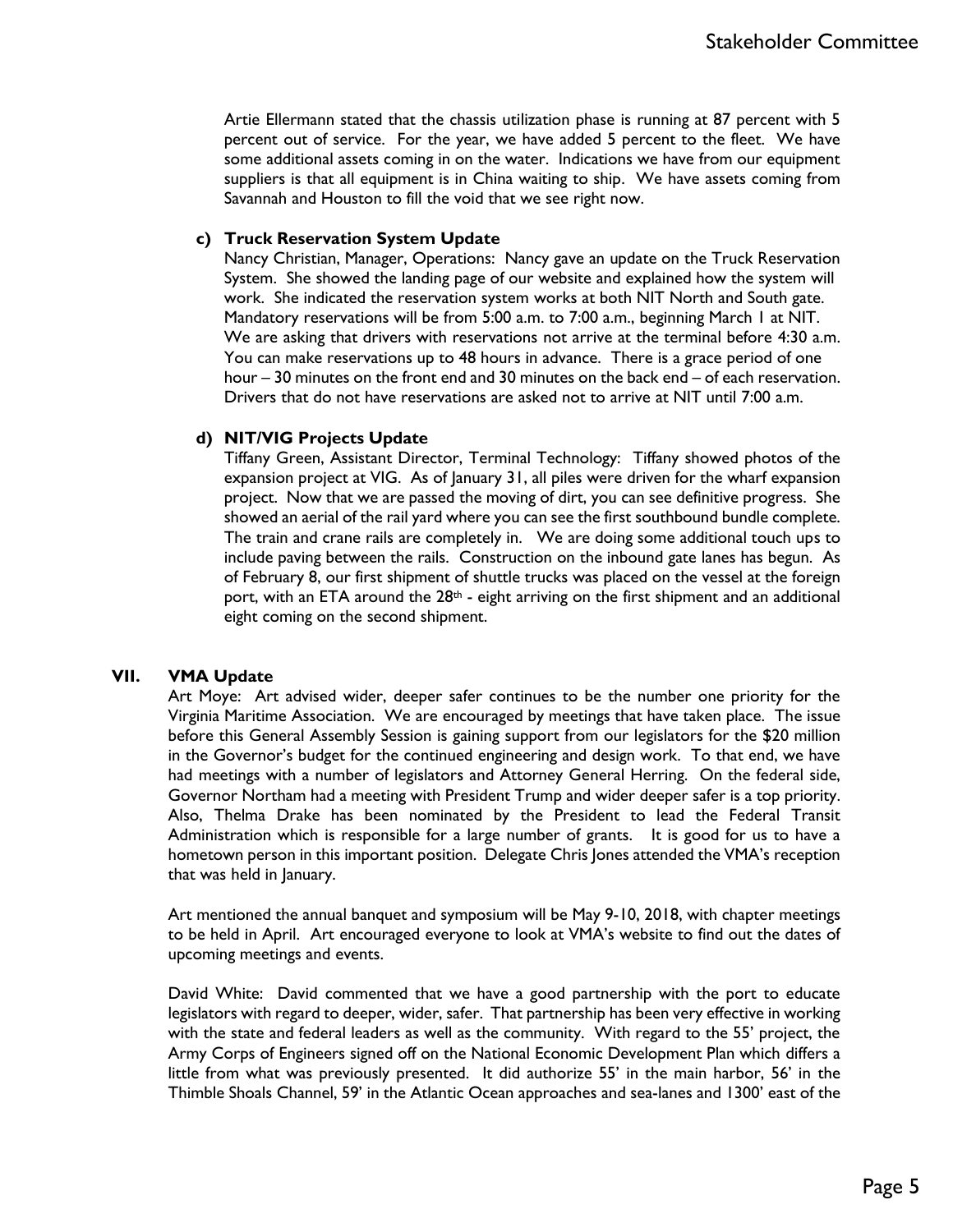Artie Ellermann stated that the chassis utilization phase is running at 87 percent with 5 percent out of service. For the year, we have added 5 percent to the fleet. We have some additional assets coming in on the water. Indications we have from our equipment suppliers is that all equipment is in China waiting to ship. We have assets coming from Savannah and Houston to fill the void that we see right now.

## **c) Truck Reservation System Update**

Nancy Christian, Manager, Operations: Nancy gave an update on the Truck Reservation System. She showed the landing page of our website and explained how the system will work. She indicated the reservation system works at both NIT North and South gate. Mandatory reservations will be from 5:00 a.m. to 7:00 a.m., beginning March 1 at NIT. We are asking that drivers with reservations not arrive at the terminal before 4:30 a.m. You can make reservations up to 48 hours in advance. There is a grace period of one hour – 30 minutes on the front end and 30 minutes on the back end – of each reservation. Drivers that do not have reservations are asked not to arrive at NIT until 7:00 a.m.

## **d) NIT/VIG Projects Update**

Tiffany Green, Assistant Director, Terminal Technology: Tiffany showed photos of the expansion project at VIG. As of January 31, all piles were driven for the wharf expansion project. Now that we are passed the moving of dirt, you can see definitive progress. She showed an aerial of the rail yard where you can see the first southbound bundle complete. The train and crane rails are completely in. We are doing some additional touch ups to include paving between the rails. Construction on the inbound gate lanes has begun. As of February 8, our first shipment of shuttle trucks was placed on the vessel at the foreign port, with an ETA around the  $28<sup>th</sup>$  - eight arriving on the first shipment and an additional eight coming on the second shipment.

## **VII. VMA Update**

Art Moye: Art advised wider, deeper safer continues to be the number one priority for the Virginia Maritime Association. We are encouraged by meetings that have taken place. The issue before this General Assembly Session is gaining support from our legislators for the \$20 million in the Governor's budget for the continued engineering and design work. To that end, we have had meetings with a number of legislators and Attorney General Herring. On the federal side, Governor Northam had a meeting with President Trump and wider deeper safer is a top priority. Also, Thelma Drake has been nominated by the President to lead the Federal Transit Administration which is responsible for a large number of grants. It is good for us to have a hometown person in this important position. Delegate Chris Jones attended the VMA's reception that was held in January.

Art mentioned the annual banquet and symposium will be May 9-10, 2018, with chapter meetings to be held in April. Art encouraged everyone to look at VMA's website to find out the dates of upcoming meetings and events.

David White: David commented that we have a good partnership with the port to educate legislators with regard to deeper, wider, safer. That partnership has been very effective in working with the state and federal leaders as well as the community. With regard to the 55' project, the Army Corps of Engineers signed off on the National Economic Development Plan which differs a little from what was previously presented. It did authorize 55' in the main harbor, 56' in the Thimble Shoals Channel, 59' in the Atlantic Ocean approaches and sea-lanes and 1300' east of the